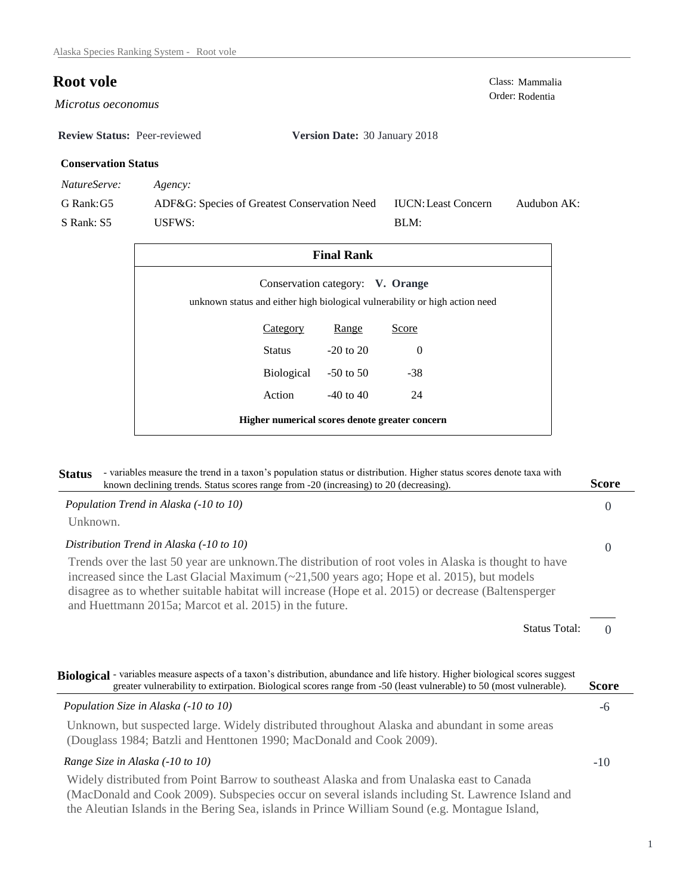*Microtus oeconomus* 

**Review Status:** Peer-reviewed **Version Date:** 30 January 2018

# **Conservation Status**

*NatureServe: Agency:*

G Rank:G5 S Rank: S5 ADF&G: Species of Greatest Conservation Need USFWS: Audubon AK: BLM: IUCN:Least Concern

| <b>Final Rank</b>                                                                                               |                 |               |          |  |  |  |
|-----------------------------------------------------------------------------------------------------------------|-----------------|---------------|----------|--|--|--|
| Conservation category: V. Orange<br>unknown status and either high biological vulnerability or high action need |                 |               |          |  |  |  |
|                                                                                                                 | <b>Category</b> | <b>Range</b>  | Score    |  |  |  |
|                                                                                                                 | Status          | $-20$ to $20$ | $\Omega$ |  |  |  |
|                                                                                                                 | Biological      | $-50$ to 50   | $-38$    |  |  |  |
|                                                                                                                 | Action          | $-40$ to $40$ | 24       |  |  |  |
| Higher numerical scores denote greater concern                                                                  |                 |               |          |  |  |  |

| - variables measure the trend in a taxon's population status or distribution. Higher status scores denote taxa with<br><b>Status</b><br>known declining trends. Status scores range from -20 (increasing) to 20 (decreasing).                                                                                                                                                                | <b>Score</b> |
|----------------------------------------------------------------------------------------------------------------------------------------------------------------------------------------------------------------------------------------------------------------------------------------------------------------------------------------------------------------------------------------------|--------------|
| Population Trend in Alaska (-10 to 10)                                                                                                                                                                                                                                                                                                                                                       | $\theta$     |
| Unknown.                                                                                                                                                                                                                                                                                                                                                                                     |              |
| Distribution Trend in Alaska (-10 to 10)                                                                                                                                                                                                                                                                                                                                                     | $\Omega$     |
| Trends over the last 50 year are unknown. The distribution of root voles in Alaska is thought to have<br>increased since the Last Glacial Maximum $\left(\frac{21,500}{2}\right)$ years ago; Hope et al. 2015), but models<br>disagree as to whether suitable habitat will increase (Hope et al. 2015) or decrease (Baltensperger<br>and Huettmann 2015a; Marcot et al. 2015) in the future. |              |
| <b>Status Total:</b>                                                                                                                                                                                                                                                                                                                                                                         | $\Omega$     |
| Biological - variables measure aspects of a taxon's distribution, abundance and life history. Higher biological scores suggest<br>greater vulnerability to extirpation. Biological scores range from -50 (least vulnerable) to 50 (most vulnerable).                                                                                                                                         | <b>Score</b> |
| Population Size in Alaska (-10 to 10)                                                                                                                                                                                                                                                                                                                                                        | -6           |
| Unknown, but suspected large. Widely distributed throughout Alaska and abundant in some areas<br>(Douglass 1984; Batzli and Henttonen 1990; MacDonald and Cook 2009).                                                                                                                                                                                                                        |              |
| Range Size in Alaska (-10 to 10)                                                                                                                                                                                                                                                                                                                                                             | $-10$        |
| Widely distributed from Point Barrow to southeast Alaska and from Unalaska east to Canada<br>(MacDonald and Cook 2009). Subspecies occur on several islands including St. Lawrence Island and<br>the Aleutian Islands in the Bering Sea, islands in Prince William Sound (e.g. Montague Island,                                                                                              |              |

**Root vole** Class: Mammalia Order: Rodentia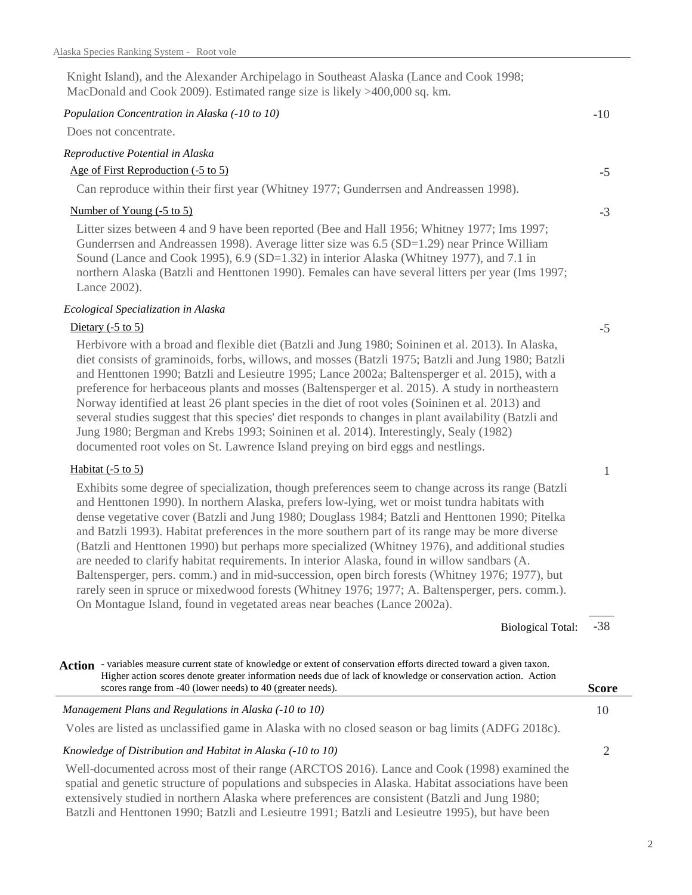Knight Island), and the Alexander Archipelago in Southeast Alaska (Lance and Cook 1998; MacDonald and Cook 2009). Estimated range size is likely >400,000 sq. km.

#### *Population Concentration in Alaska (-10 to 10)*

Does not concentrate.

# *Reproductive Potential in Alaska*

# Age of First Reproduction (-5 to 5)

Can reproduce within their first year (Whitney 1977; Gunderrsen and Andreassen 1998).

### Number of Young (-5 to 5)

Litter sizes between 4 and 9 have been reported (Bee and Hall 1956; Whitney 1977; Ims 1997; Gunderrsen and Andreassen 1998). Average litter size was 6.5 (SD=1.29) near Prince William Sound (Lance and Cook 1995), 6.9 (SD=1.32) in interior Alaska (Whitney 1977), and 7.1 in northern Alaska (Batzli and Henttonen 1990). Females can have several litters per year (Ims 1997; Lance 2002).

### *Ecological Specialization in Alaska*

### Dietary (-5 to 5)

Herbivore with a broad and flexible diet (Batzli and Jung 1980; Soininen et al. 2013). In Alaska, diet consists of graminoids, forbs, willows, and mosses (Batzli 1975; Batzli and Jung 1980; Batzli and Henttonen 1990; Batzli and Lesieutre 1995; Lance 2002a; Baltensperger et al. 2015), with a preference for herbaceous plants and mosses (Baltensperger et al. 2015). A study in northeastern Norway identified at least 26 plant species in the diet of root voles (Soininen et al. 2013) and several studies suggest that this species' diet responds to changes in plant availability (Batzli and Jung 1980; Bergman and Krebs 1993; Soininen et al. 2014). Interestingly, Sealy (1982) documented root voles on St. Lawrence Island preying on bird eggs and nestlings.

# Habitat  $(-5 \text{ to } 5)$

Exhibits some degree of specialization, though preferences seem to change across its range (Batzli and Henttonen 1990). In northern Alaska, prefers low-lying, wet or moist tundra habitats with dense vegetative cover (Batzli and Jung 1980; Douglass 1984; Batzli and Henttonen 1990; Pitelka and Batzli 1993). Habitat preferences in the more southern part of its range may be more diverse (Batzli and Henttonen 1990) but perhaps more specialized (Whitney 1976), and additional studies are needed to clarify habitat requirements. In interior Alaska, found in willow sandbars (A. Baltensperger, pers. comm.) and in mid-succession, open birch forests (Whitney 1976; 1977), but rarely seen in spruce or mixedwood forests (Whitney 1976; 1977; A. Baltensperger, pers. comm.). On Montague Island, found in vegetated areas near beaches (Lance 2002a).

- variables measure current state of knowledge or extent of conservation efforts directed toward a given taxon.

-38 Biological Total:

| - variables measure current state of knowledge or extent of conservation efforts directed toward a given taxon.<br><b>Action</b><br>Higher action scores denote greater information needs due of lack of knowledge or conservation action. Action                                                       |              |
|---------------------------------------------------------------------------------------------------------------------------------------------------------------------------------------------------------------------------------------------------------------------------------------------------------|--------------|
| scores range from -40 (lower needs) to 40 (greater needs).                                                                                                                                                                                                                                              | <b>Score</b> |
| Management Plans and Regulations in Alaska (-10 to 10)                                                                                                                                                                                                                                                  | 10           |
| Voles are listed as unclassified game in Alaska with no closed season or bag limits (ADFG 2018c).                                                                                                                                                                                                       |              |
| Knowledge of Distribution and Habitat in Alaska (-10 to 10)                                                                                                                                                                                                                                             |              |
| Well-documented across most of their range (ARCTOS 2016). Lance and Cook (1998) examined the<br>spatial and genetic structure of populations and subspecies in Alaska. Habitat associations have been<br>extensively studied in northern Alaska where preferences are consistent (Batzli and Jung 1980; |              |

Batzli and Henttonen 1990; Batzli and Lesieutre 1991; Batzli and Lesieutre 1995), but have been

-5

-10

-5

-3

1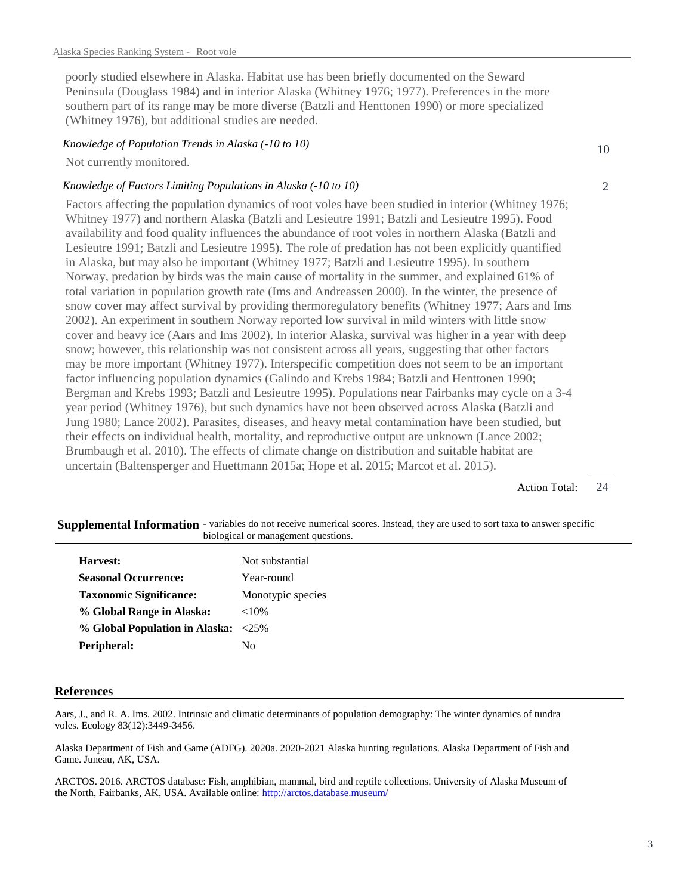poorly studied elsewhere in Alaska. Habitat use has been briefly documented on the Seward Peninsula (Douglass 1984) and in interior Alaska (Whitney 1976; 1977). Preferences in the more southern part of its range may be more diverse (Batzli and Henttonen 1990) or more specialized (Whitney 1976), but additional studies are needed.

# *Knowledge of Population Trends in Alaska (-10 to 10)*

Not currently monitored.

#### *Knowledge of Factors Limiting Populations in Alaska (-10 to 10)*

Factors affecting the population dynamics of root voles have been studied in interior (Whitney 1976; Whitney 1977) and northern Alaska (Batzli and Lesieutre 1991; Batzli and Lesieutre 1995). Food availability and food quality influences the abundance of root voles in northern Alaska (Batzli and Lesieutre 1991; Batzli and Lesieutre 1995). The role of predation has not been explicitly quantified in Alaska, but may also be important (Whitney 1977; Batzli and Lesieutre 1995). In southern Norway, predation by birds was the main cause of mortality in the summer, and explained 61% of total variation in population growth rate (Ims and Andreassen 2000). In the winter, the presence of snow cover may affect survival by providing thermoregulatory benefits (Whitney 1977; Aars and Ims 2002). An experiment in southern Norway reported low survival in mild winters with little snow cover and heavy ice (Aars and Ims 2002). In interior Alaska, survival was higher in a year with deep snow; however, this relationship was not consistent across all years, suggesting that other factors may be more important (Whitney 1977). Interspecific competition does not seem to be an important factor influencing population dynamics (Galindo and Krebs 1984; Batzli and Henttonen 1990; Bergman and Krebs 1993; Batzli and Lesieutre 1995). Populations near Fairbanks may cycle on a 3-4 year period (Whitney 1976), but such dynamics have not been observed across Alaska (Batzli and Jung 1980; Lance 2002). Parasites, diseases, and heavy metal contamination have been studied, but their effects on individual health, mortality, and reproductive output are unknown (Lance 2002; Brumbaugh et al. 2010). The effects of climate change on distribution and suitable habitat are uncertain (Baltensperger and Huettmann 2015a; Hope et al. 2015; Marcot et al. 2015).

> 24 Action Total:

#### Supplemental Information - variables do not receive numerical scores. Instead, they are used to sort taxa to answer specific biological or management questions.

| Harvest:                            | Not substantial   |
|-------------------------------------|-------------------|
| <b>Seasonal Occurrence:</b>         | Year-round        |
| <b>Taxonomic Significance:</b>      | Monotypic species |
| % Global Range in Alaska:           | ${<}10\%$         |
| % Global Population in Alaska: <25% |                   |
| Peripheral:                         | Nο                |
|                                     |                   |

#### **References**

Aars, J., and R. A. Ims. 2002. Intrinsic and climatic determinants of population demography: The winter dynamics of tundra voles. Ecology 83(12):3449-3456.

Alaska Department of Fish and Game (ADFG). 2020a. 2020-2021 Alaska hunting regulations. Alaska Department of Fish and Game. Juneau, AK, USA.

ARCTOS. 2016. ARCTOS database: Fish, amphibian, mammal, bird and reptile collections. University of Alaska Museum of the North, Fairbanks, AK, USA. Available online: http://arctos.database.museum/

# 10

2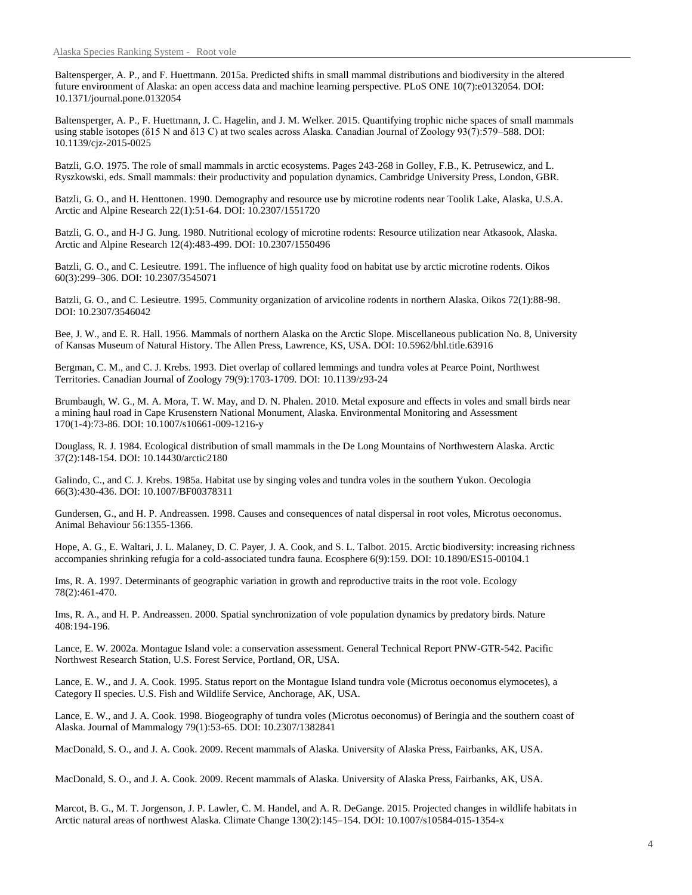Baltensperger, A. P., and F. Huettmann. 2015a. Predicted shifts in small mammal distributions and biodiversity in the altered future environment of Alaska: an open access data and machine learning perspective. PLoS ONE 10(7):e0132054. DOI: 10.1371/journal.pone.0132054

Baltensperger, A. P., F. Huettmann, J. C. Hagelin, and J. M. Welker. 2015. Quantifying trophic niche spaces of small mammals using stable isotopes ( $\delta$ 15 N and  $\delta$ 13 C) at two scales across Alaska. Canadian Journal of Zoology 93(7):579–588. DOI: 10.1139/cjz-2015-0025

Batzli, G.O. 1975. The role of small mammals in arctic ecosystems. Pages 243-268 in Golley, F.B., K. Petrusewicz, and L. Ryszkowski, eds. Small mammals: their productivity and population dynamics. Cambridge University Press, London, GBR.

Batzli, G. O., and H. Henttonen. 1990. Demography and resource use by microtine rodents near Toolik Lake, Alaska, U.S.A. Arctic and Alpine Research 22(1):51-64. DOI: 10.2307/1551720

Batzli, G. O., and H-J G. Jung. 1980. Nutritional ecology of microtine rodents: Resource utilization near Atkasook, Alaska. Arctic and Alpine Research 12(4):483-499. DOI: 10.2307/1550496

Batzli, G. O., and C. Lesieutre. 1991. The influence of high quality food on habitat use by arctic microtine rodents. Oikos 60(3):299–306. DOI: 10.2307/3545071

Batzli, G. O., and C. Lesieutre. 1995. Community organization of arvicoline rodents in northern Alaska. Oikos 72(1):88-98. DOI: 10.2307/3546042

Bee, J. W., and E. R. Hall. 1956. Mammals of northern Alaska on the Arctic Slope. Miscellaneous publication No. 8, University of Kansas Museum of Natural History. The Allen Press, Lawrence, KS, USA. DOI: 10.5962/bhl.title.63916

Bergman, C. M., and C. J. Krebs. 1993. Diet overlap of collared lemmings and tundra voles at Pearce Point, Northwest Territories. Canadian Journal of Zoology 79(9):1703-1709. DOI: 10.1139/z93-24

Brumbaugh, W. G., M. A. Mora, T. W. May, and D. N. Phalen. 2010. Metal exposure and effects in voles and small birds near a mining haul road in Cape Krusenstern National Monument, Alaska. Environmental Monitoring and Assessment 170(1-4):73-86. DOI: 10.1007/s10661-009-1216-y

Douglass, R. J. 1984. Ecological distribution of small mammals in the De Long Mountains of Northwestern Alaska. Arctic 37(2):148-154. DOI: 10.14430/arctic2180

Galindo, C., and C. J. Krebs. 1985a. Habitat use by singing voles and tundra voles in the southern Yukon. Oecologia 66(3):430-436. DOI: 10.1007/BF00378311

Gundersen, G., and H. P. Andreassen. 1998. Causes and consequences of natal dispersal in root voles, Microtus oeconomus. Animal Behaviour 56:1355-1366.

Hope, A. G., E. Waltari, J. L. Malaney, D. C. Payer, J. A. Cook, and S. L. Talbot. 2015. Arctic biodiversity: increasing richness accompanies shrinking refugia for a cold-associated tundra fauna. Ecosphere 6(9):159. DOI: 10.1890/ES15-00104.1

Ims, R. A. 1997. Determinants of geographic variation in growth and reproductive traits in the root vole. Ecology 78(2):461-470.

Ims, R. A., and H. P. Andreassen. 2000. Spatial synchronization of vole population dynamics by predatory birds. Nature 408:194-196.

Lance, E. W. 2002a. Montague Island vole: a conservation assessment. General Technical Report PNW-GTR-542. Pacific Northwest Research Station, U.S. Forest Service, Portland, OR, USA.

Lance, E. W., and J. A. Cook. 1995. Status report on the Montague Island tundra vole (Microtus oeconomus elymocetes), a Category II species. U.S. Fish and Wildlife Service, Anchorage, AK, USA.

Lance, E. W., and J. A. Cook. 1998. Biogeography of tundra voles (Microtus oeconomus) of Beringia and the southern coast of Alaska. Journal of Mammalogy 79(1):53-65. DOI: 10.2307/1382841

MacDonald, S. O., and J. A. Cook. 2009. Recent mammals of Alaska. University of Alaska Press, Fairbanks, AK, USA.

MacDonald, S. O., and J. A. Cook. 2009. Recent mammals of Alaska. University of Alaska Press, Fairbanks, AK, USA.

Marcot, B. G., M. T. Jorgenson, J. P. Lawler, C. M. Handel, and A. R. DeGange. 2015. Projected changes in wildlife habitats in Arctic natural areas of northwest Alaska. Climate Change 130(2):145–154. DOI: 10.1007/s10584-015-1354-x